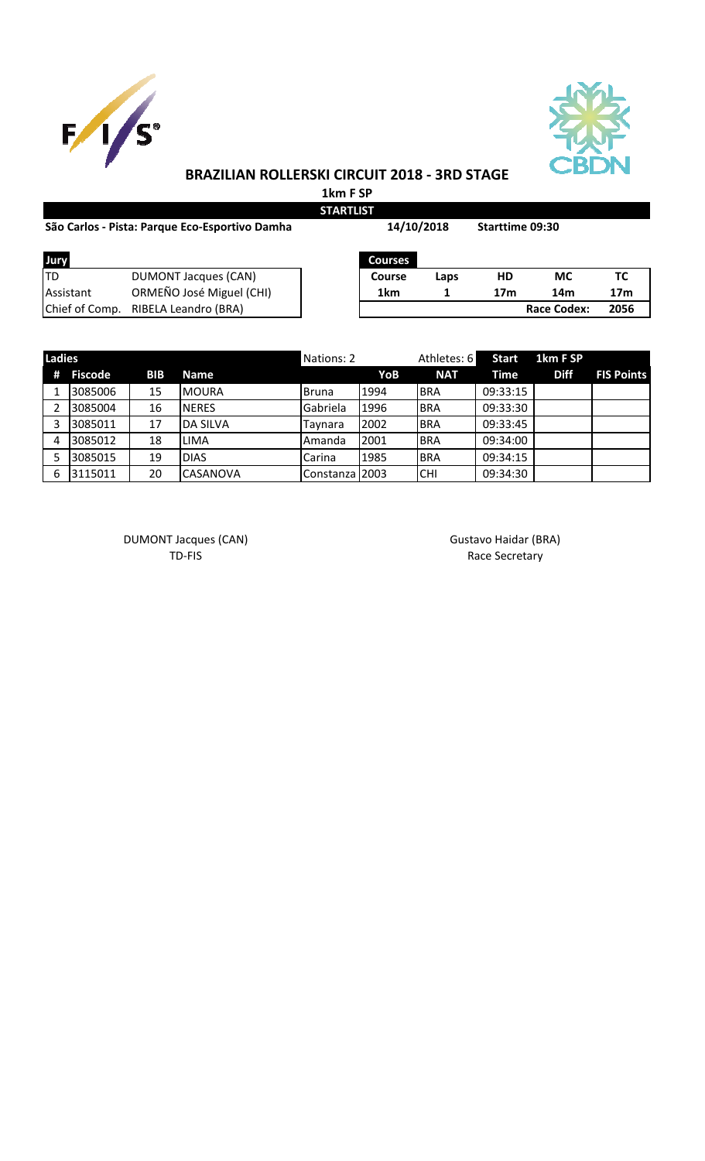



## **BRAZILIAN ROLLERSKI CIRCUIT 2018 - 3RD STAGE**

**1km F SP STARTLIST**

| São Carlos - Pista: Parque Eco-Esportivo Damha | 14/10/2018                          |                | <b>Starttime 09:30</b> |                 |                    |                 |
|------------------------------------------------|-------------------------------------|----------------|------------------------|-----------------|--------------------|-----------------|
| Jury                                           |                                     | <b>Courses</b> |                        |                 |                    |                 |
| ltd                                            | <b>DUMONT Jacques (CAN)</b>         | Course         | Laps                   | HD              | <b>MC</b>          | TC              |
| <b>Assistant</b>                               | ORMEÑO José Miguel (CHI)            | 1km            |                        | 17 <sub>m</sub> | 14m                | 17 <sub>m</sub> |
|                                                | Chief of Comp. RIBELA Leandro (BRA) |                |                        |                 | <b>Race Codex:</b> | 2056            |
|                                                |                                     |                |                        |                 |                    |                 |

| <b>Ladies</b> |         |            |                 | Nations: 2     |      | Athletes: 6 | <b>Start</b> | 1km F SP    |                   |
|---------------|---------|------------|-----------------|----------------|------|-------------|--------------|-------------|-------------------|
| #             | Fiscode | <b>BIB</b> | <b>Name</b>     |                | YoB  | <b>NAT</b>  | Time         | <b>Diff</b> | <b>FIS Points</b> |
|               | 3085006 | 15         | <b>IMOURA</b>   | <b>Bruna</b>   | 1994 | <b>BRA</b>  | 09:33:15     |             |                   |
|               | 3085004 | 16         | <b>NERES</b>    | Gabriela       | 1996 | <b>BRA</b>  | 09:33:30     |             |                   |
|               | 3085011 | 17         | <b>DA SILVA</b> | Taynara        | 2002 | <b>BRA</b>  | 09:33:45     |             |                   |
| 4             | 3085012 | 18         | <b>LIMA</b>     | Amanda         | 2001 | <b>BRA</b>  | 09:34:00     |             |                   |
|               | 3085015 | 19         | <b>DIAS</b>     | Carina         | 1985 | <b>BRA</b>  | 09:34:15     |             |                   |
| 6             | 3115011 | 20         | <b>CASANOVA</b> | Constanza 2003 |      | CHI         | 09:34:30     |             |                   |

DUMONT Jacques (CAN) Gustavo Haidar (BRA)

TD-FIS Race Secretary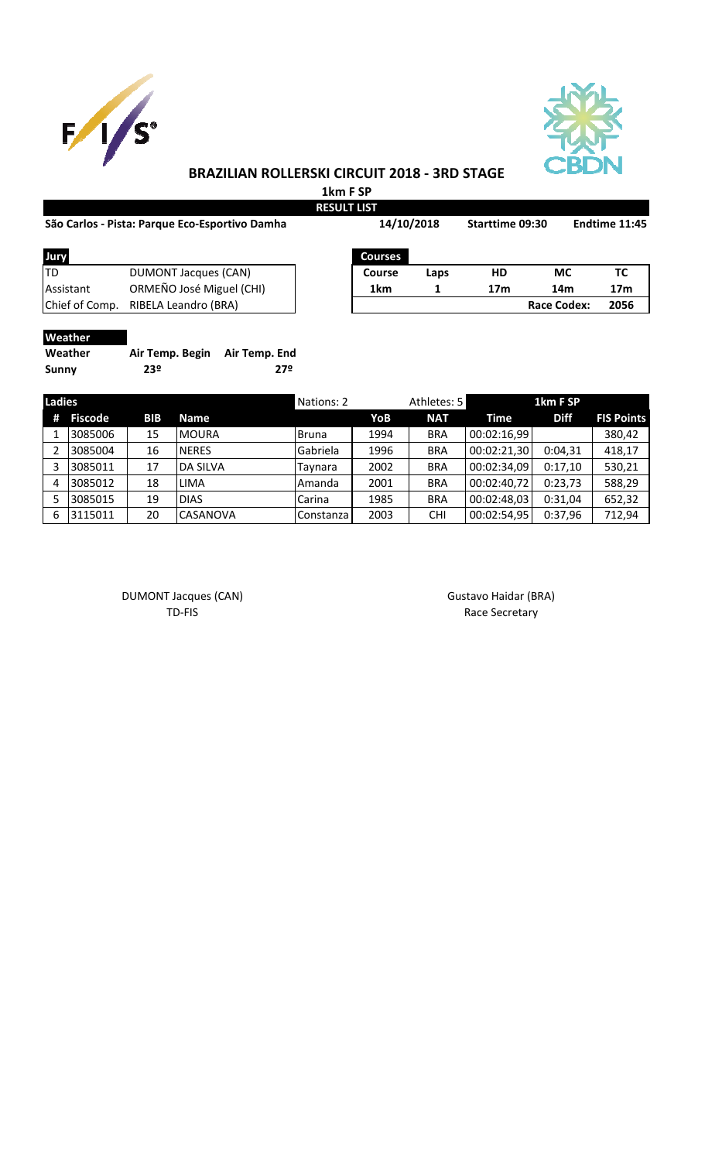



## **BRAZILIAN ROLLERSKI CIRCUIT 2018 - 3RD STAGE**

**1km F SP**

| São Carlos - Pista: Parque Eco-Esportivo Damha |                          |  | 14/10/2018      |      | Starttime 09:30 |                    | Endtime 11:45   |  |
|------------------------------------------------|--------------------------|--|-----------------|------|-----------------|--------------------|-----------------|--|
| Jury                                           |                          |  | <b>Courses</b>  |      |                 |                    |                 |  |
| ltd                                            | DUMONT Jacques (CAN)     |  | Course          | Laps | HD              | МC                 | ТC              |  |
| Assistant                                      | ORMEÑO José Miguel (CHI) |  | 1 <sub>km</sub> |      | 17 <sub>m</sub> | 14m                | 17 <sub>m</sub> |  |
| Chief of Comp.                                 | RIBELA Leandro (BRA)     |  |                 |      |                 | <b>Race Codex:</b> | 2056            |  |
| Weather                                        |                          |  |                 |      |                 |                    |                 |  |

| Weather      | Air Temp. Begin Air Temp. End |     |
|--------------|-------------------------------|-----|
| <b>Sunny</b> | 23º                           | 272 |

| <b>Ladies</b> |                |            |                 | Nations: 2 |      | Athletes: 5 |             | 1km F SP    |                   |
|---------------|----------------|------------|-----------------|------------|------|-------------|-------------|-------------|-------------------|
| #             | <b>Fiscode</b> | <b>BIB</b> | <b>Name</b>     |            | YoB  | <b>NAT</b>  | Time        | <b>Diff</b> | <b>FIS Points</b> |
|               | 3085006        | 15         | <b>MOURA</b>    | Bruna      | 1994 | <b>BRA</b>  | 00:02:16,99 |             | 380,42            |
|               | 3085004        | 16         | <b>NERES</b>    | Gabriela   | 1996 | <b>BRA</b>  | 00:02:21,30 | 0:04,31     | 418,17            |
|               | 3085011        | 17         | <b>DA SILVA</b> | Tavnara    | 2002 | <b>BRA</b>  | 00:02:34,09 | 0:17.10     | 530,21            |
| 4             | 3085012        | 18         | <b>LIMA</b>     | Amanda     | 2001 | <b>BRA</b>  | 00:02:40,72 | 0:23,73     | 588,29            |
|               | 3085015        | 19         | <b>DIAS</b>     | Carina     | 1985 | <b>BRA</b>  | 00:02:48,03 | 0:31,04     | 652,32            |
| 6             | 3115011        | 20         | <b>CASANOVA</b> | Constanza  | 2003 | <b>CHI</b>  | 00:02:54,95 | 0:37,96     | 712,94            |

DUMONT Jacques (CAN) and the Canada Control of Gustavo Haidar (BRA) and DUMONT Jacques (CAN)

TD-FIS Race Secretary